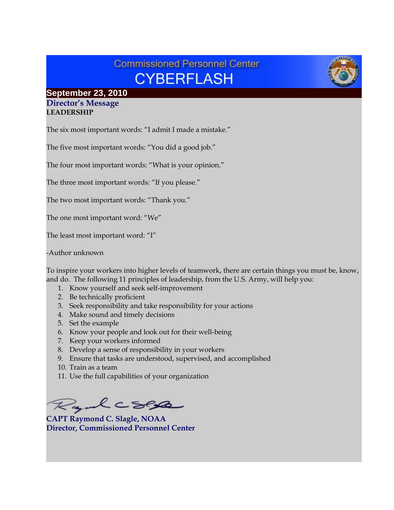# **Commissioned Personnel Center CYBERFLASH**

# **September 23, 2010**

#### **Director's Message LEADERSHIP**

The six most important words: "I admit I made a mistake."

The five most important words: "You did a good job."

The four most important words: "What is your opinion."

The three most important words: "If you please."

The two most important words: "Thank you."

The one most important word: "We"

The least most important word: "I"

-Author unknown

To inspire your workers into higher levels of teamwork, there are certain things you must be, know, and do. The following 11 principles of leadership, from the U.S. Army, will help you:

- 1. Know yourself and seek self-improvement
- 2. Be technically proficient
- 3. Seek responsibility and take responsibility for your actions
- 4. Make sound and timely decisions
- 5. Set the example
- 6. Know your people and look out for their well-being
- 7. Keep your workers informed
- 8. Develop a sense of responsibility in your workers
- 9. Ensure that tasks are understood, supervised, and accomplished
- 10. Train as a team
- 11. Use the full capabilities of your organization

Ryalcses

**CAPT Raymond C. Slagle, NOAA Director, Commissioned Personnel Center**

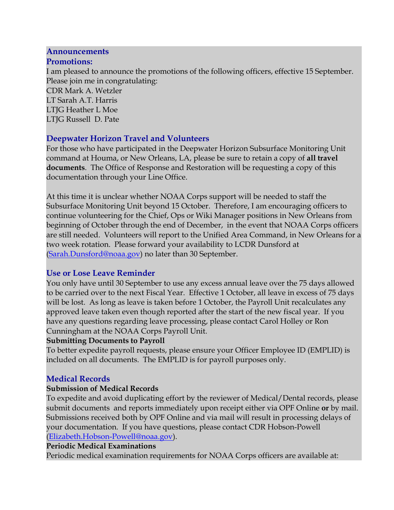### **Announcements**

#### **Promotions:**

I am pleased to announce the promotions of the following officers, effective 15 September. Please join me in congratulating: CDR Mark A. Wetzler LT Sarah A.T. Harris LTJG Heather L Moe LTJG Russell D. Pate

### **Deepwater Horizon Travel and Volunteers**

For those who have participated in the Deepwater Horizon Subsurface Monitoring Unit command at Houma, or New Orleans, LA, please be sure to retain a copy of **all travel documents**. The Office of Response and Restoration will be requesting a copy of this documentation through your Line Office.

At this time it is unclear whether NOAA Corps support will be needed to staff the Subsurface Monitoring Unit beyond 15 October. Therefore, I am encouraging officers to continue volunteering for the Chief, Ops or Wiki Manager positions in New Orleans from beginning of October through the end of December, in the event that NOAA Corps officers are still needed. Volunteers will report to the Unified Area Command, in New Orleans for a two week rotation. Please forward your availability to LCDR Dunsford at [\(Sarah.Dunsford@noaa.gov\)](mailto:Sarah.Dunsford@noaa.gov) no later than 30 September.

## **Use or Lose Leave Reminder**

You only have until 30 September to use any excess annual leave over the 75 days allowed to be carried over to the next Fiscal Year. Effective 1 October, all leave in excess of 75 days will be lost. As long as leave is taken before 1 October, the Payroll Unit recalculates any approved leave taken even though reported after the start of the new fiscal year. If you have any questions regarding leave processing, please contact Carol Holley or Ron Cunningham at the NOAA Corps Payroll Unit.

### **Submitting Documents to Payroll**

To better expedite payroll requests, please ensure your Officer Employee ID (EMPLID) is included on all documents. The EMPLID is for payroll purposes only.

## **Medical Records**

### **Submission of Medical Records**

To expedite and avoid duplicating effort by the reviewer of Medical/Dental records, please submit documents and reports immediately upon receipt either via OPF Online **or** by mail. Submissions received both by OPF Online and via mail will result in processing delays of your documentation. If you have questions, please contact CDR Hobson-Powell [\(Elizabeth.Hobson-Powell@noaa.gov\)](mailto:Elizabeth.Hobson-Powell@noaa.gov).

### **Periodic Medical Examinations**

Periodic medical examination requirements for NOAA Corps officers are available at: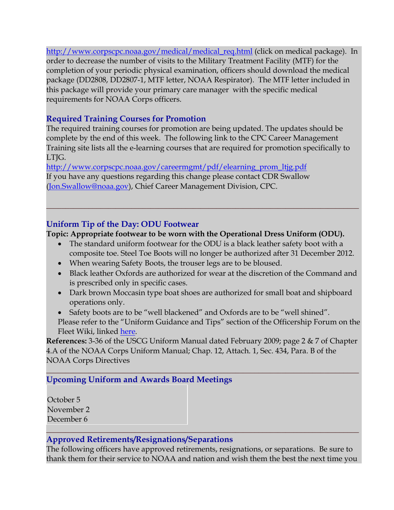[http://www.corpscpc.noaa.gov/medical/medical\\_req.html](http://www.corpscpc.noaa.gov/medical/medical_req.html) (click on medical package). In order to decrease the number of visits to the Military Treatment Facility (MTF) for the completion of your periodic physical examination, officers should download the medical package (DD2808, DD2807-1, MTF letter, NOAA Respirator). The MTF letter included in this package will provide your primary care manager with the specific medical requirements for NOAA Corps officers.

## **Required Training Courses for Promotion**

The required training courses for promotion are being updated. The updates should be complete by the end of this week. The following link to the CPC Career Management Training site lists all the e-learning courses that are required for promotion specifically to LTJG.

[http://www.corpscpc.noaa.gov/careermgmt/pdf/elearning\\_prom\\_ltjg.pdf](http://www.corpscpc.noaa.gov/careermgmt/pdf/elearning_prom_ltjg.pdf) If you have any questions regarding this change please contact CDR Swallow [\(Jon.Swallow@noaa.gov\)](mailto:Jon.Swallow@noaa.gov), Chief Career Management Division, CPC.

## **Uniform Tip of the Day: ODU Footwear**

### **Topic: Appropriate footwear to be worn with the Operational Dress Uniform (ODU).**

• The standard uniform footwear for the ODU is a black leather safety boot with a composite toe. Steel Toe Boots will no longer be authorized after 31 December 2012.

**\_\_\_\_\_\_\_\_\_\_\_\_\_\_\_\_\_\_\_\_\_\_\_\_\_\_\_\_\_\_\_\_\_\_\_\_\_\_\_\_\_\_\_\_\_\_\_\_\_\_\_\_\_\_\_\_\_\_\_\_\_\_\_\_\_\_\_\_\_\_\_\_\_\_\_\_\_\_\_\_\_**

- When wearing Safety Boots, the trouser legs are to be bloused.
- Black leather Oxfords are authorized for wear at the discretion of the Command and is prescribed only in specific cases.
- Dark brown Moccasin type boat shoes are authorized for small boat and shipboard operations only.
- Safety boots are to be "well blackened" and Oxfords are to be "well shined". Please refer to the "Uniform Guidance and Tips" section of the Officership Forum on the Fleet Wiki, linked [here.](https://www.st.nmfs.noaa.gov/confluence/download/attachments/14188684/Boot+Polishing.docx)

**References:** 3-36 of the USCG Uniform Manual dated February 2009; page 2 & 7 of Chapter 4.A of the NOAA Corps Uniform Manual; Chap. 12, Attach. 1, Sec. 434, Para. B of the NOAA Corps Directives

#### **\_\_\_\_\_\_\_\_\_\_\_\_\_\_\_\_\_\_\_\_\_\_\_\_\_\_\_\_\_\_\_\_\_\_\_\_\_\_\_\_\_\_\_\_\_\_\_\_\_\_\_\_\_\_\_\_\_\_\_\_\_\_\_\_\_\_\_\_\_\_\_\_\_\_\_\_\_\_\_\_\_ Upcoming Uniform and Awards Board Meetings**

October 5 November 2 December 6

## **Approved Retirements/Resignations/Separations**

The following officers have approved retirements, resignations, or separations. Be sure to thank them for their service to NOAA and nation and wish them the best the next time you

**\_\_\_\_\_\_\_\_\_\_\_\_\_\_\_\_\_\_\_\_\_\_\_\_\_\_\_\_\_\_\_\_\_\_\_\_\_\_\_\_\_\_\_\_\_\_\_\_\_\_\_\_\_\_\_\_\_\_\_\_\_\_\_\_\_\_\_\_\_\_\_\_\_\_\_\_\_\_\_\_\_**